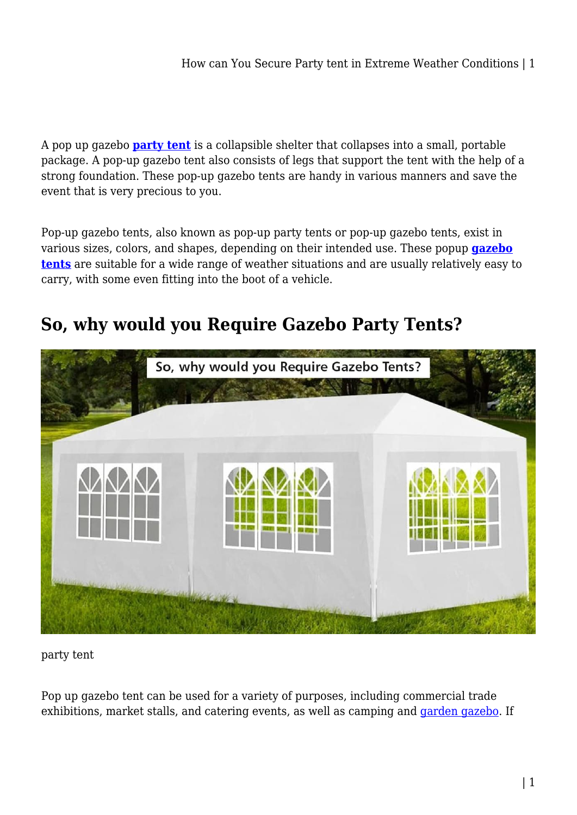A pop up gazebo **[party tent](https://shopystore.com.au/outdoor/party-tent/)** is a collapsible shelter that collapses into a small, portable package. A pop-up gazebo tent also consists of legs that support the tent with the help of a strong foundation. These pop-up gazebo tents are handy in various manners and save the event that is very precious to you.

Pop-up gazebo tents, also known as pop-up party tents or pop-up gazebo tents, exist in various sizes, colors, and shapes, depending on their intended use. These popup **[gazebo](https://shopystore.com.au/outdoor/marquees-gazebos/) [tents](https://shopystore.com.au/outdoor/marquees-gazebos/)** are suitable for a wide range of weather situations and are usually relatively easy to carry, with some even fitting into the boot of a vehicle.

# **So, why would you Require Gazebo Party Tents?**



party tent

Pop up gazebo tent can be used for a variety of purposes, including commercial trade exhibitions, market stalls, and catering events, as well as camping and [garden gazebo.](https://shopystore.com.au/outdoor/marquees-gazebos/garden-gazebo/) If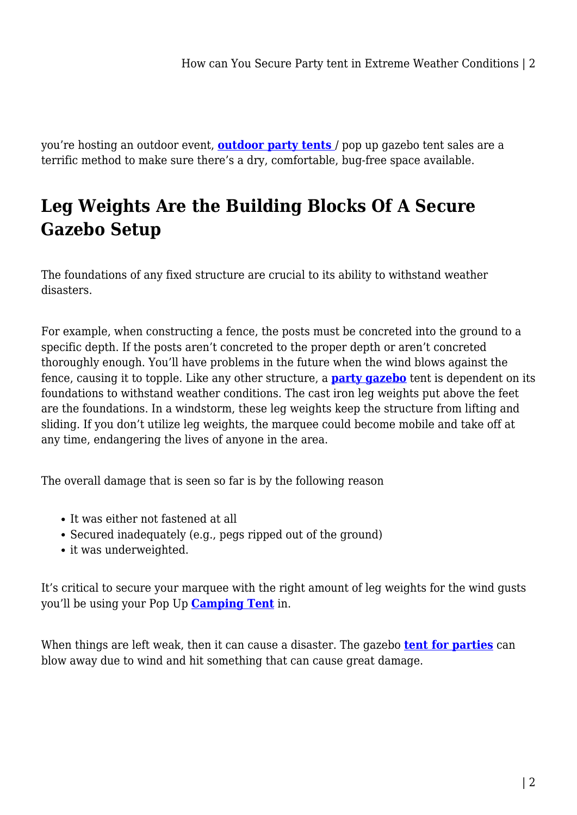you're hosting an outdoor event, **[outdoor party tents](https://shopystore.com.au/outdoor/party-tent/)** / pop up gazebo tent sales are a terrific method to make sure there's a dry, comfortable, bug-free space available.

# **Leg Weights Are the Building Blocks Of A Secure Gazebo Setup**

The foundations of any fixed structure are crucial to its ability to withstand weather disasters.

For example, when constructing a fence, the posts must be concreted into the ground to a specific depth. If the posts aren't concreted to the proper depth or aren't concreted thoroughly enough. You'll have problems in the future when the wind blows against the fence, causing it to topple. Like any other structure, a **[party gazebo](https://campingswagonline.com.au/outdoor/party-tent/)** tent is dependent on its foundations to withstand weather conditions. The cast iron leg weights put above the feet are the foundations. In a windstorm, these leg weights keep the structure from lifting and sliding. If you don't utilize leg weights, the marquee could become mobile and take off at any time, endangering the lives of anyone in the area.

The overall damage that is seen so far is by the following reason

- It was either not fastened at all
- Secured inadequately (e.g., pegs ripped out of the ground)
- it was underweighted.

It's critical to secure your marquee with the right amount of leg weights for the wind gusts you'll be using your Pop Up **[Camping Tent](https://fifocapitalcoralsea.com.au/tips-for-buying-family-camping-tent/)** in.

When things are left weak, then it can cause a disaster. The gazebo **[tent for parties](https://shopystore.com.au/outdoor/marquees-gazebos/garden-gazebo/)** can blow away due to wind and hit something that can cause great damage.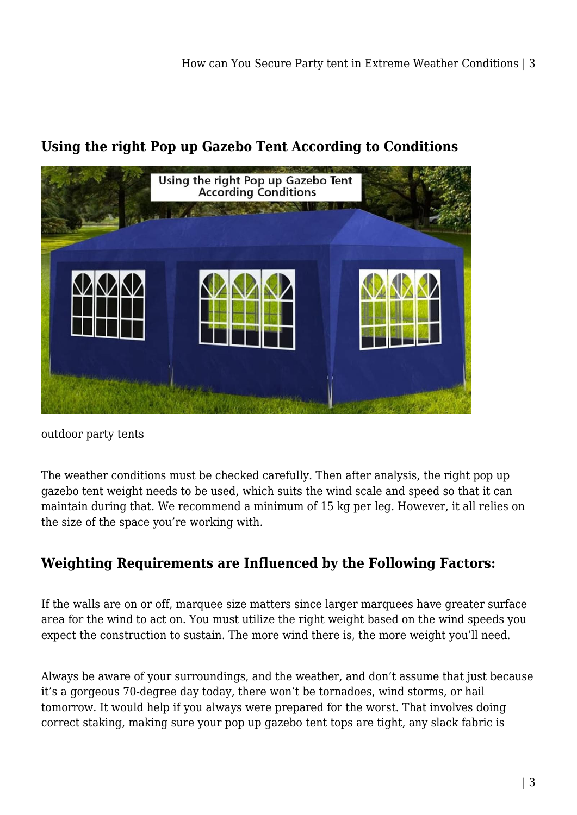

### **Using the right Pop up Gazebo Tent According to Conditions**

outdoor party tents

The weather conditions must be checked carefully. Then after analysis, the right pop up gazebo tent weight needs to be used, which suits the wind scale and speed so that it can maintain during that. We recommend a minimum of 15 kg per leg. However, it all relies on the size of the space you're working with.

# **Weighting Requirements are Influenced by the Following Factors:**

If the walls are on or off, marquee size matters since larger marquees have greater surface area for the wind to act on. You must utilize the right weight based on the wind speeds you expect the construction to sustain. The more wind there is, the more weight you'll need.

Always be aware of your surroundings, and the weather, and don't assume that just because it's a gorgeous 70-degree day today, there won't be tornadoes, wind storms, or hail tomorrow. It would help if you always were prepared for the worst. That involves doing correct staking, making sure your pop up gazebo tent tops are tight, any slack fabric is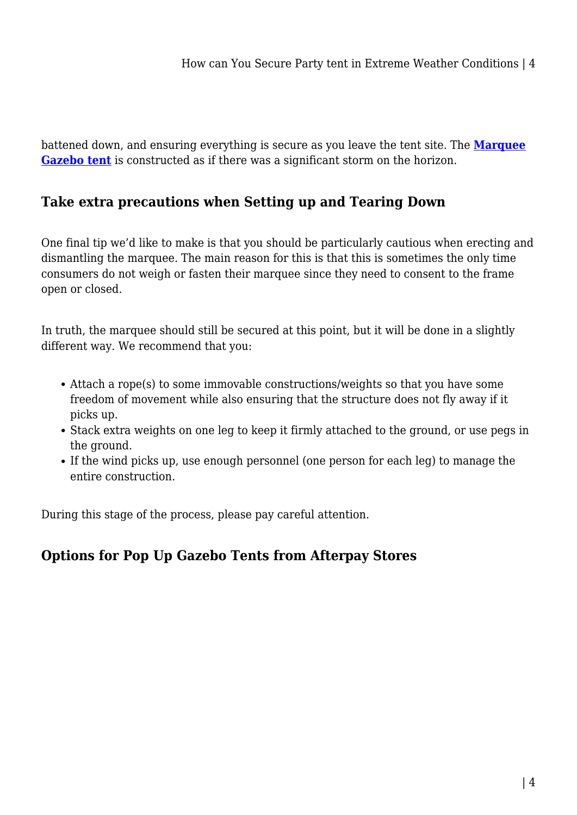battened down, and ensuring everything is secure as you leave the tent site. The **[Marquee](https://shopystore.com.au/outdoor/marquees-gazebos/) [Gazebo tent](https://shopystore.com.au/outdoor/marquees-gazebos/)** is constructed as if there was a significant storm on the horizon.

### **Take extra precautions when Setting up and Tearing Down**

One final tip we'd like to make is that you should be particularly cautious when erecting and dismantling the marquee. The main reason for this is that this is sometimes the only time consumers do not weigh or fasten their marquee since they need to consent to the frame open or closed.

In truth, the marquee should still be secured at this point, but it will be done in a slightly different way. We recommend that you:

- Attach a rope(s) to some immovable constructions/weights so that you have some freedom of movement while also ensuring that the structure does not fly away if it picks up.
- Stack extra weights on one leg to keep it firmly attached to the ground, or use pegs in the ground.
- If the wind picks up, use enough personnel (one person for each leg) to manage the entire construction.

During this stage of the process, please pay careful attention.

# **Options for Pop Up Gazebo Tents from Afterpay Stores**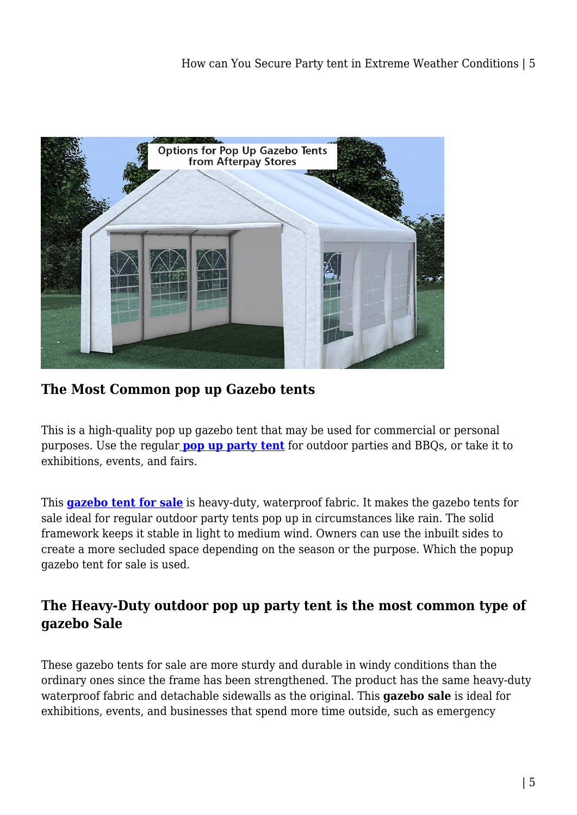

**The Most Common pop up Gazebo tents**

This is a high-quality pop up gazebo tent that may be used for commercial or personal purposes. Use the regula[r](https://shopystore.com.au/outdoor/marquees-gazebos-outdoor/) **[pop up party tent](https://shopystore.com.au/outdoor/party-tent/)** for outdoor parties and BBQs, or take it to exhibitions, events, and fairs.

This **[gazebo tent for sale](https://shopystore.com.au/outdoor/marquees-gazebos-outdoor/)** is heavy-duty, waterproof fabric. It makes the gazebo tents for sale ideal for regular outdoor party tents pop up in circumstances like rain. The solid framework keeps it stable in light to medium wind. Owners can use the inbuilt sides to create a more secluded space depending on the season or the purpose. Which the popup gazebo tent for sale is used.

### **The Heavy-Duty outdoor pop up party tent is the most common type of gazebo Sale**

These gazebo tents for sale are more sturdy and durable in windy conditions than the ordinary ones since the frame has been strengthened. The product has the same heavy-duty waterproof fabric and detachable sidewalls as the original. This **gazebo sale** is ideal for exhibitions, events, and businesses that spend more time outside, such as emergency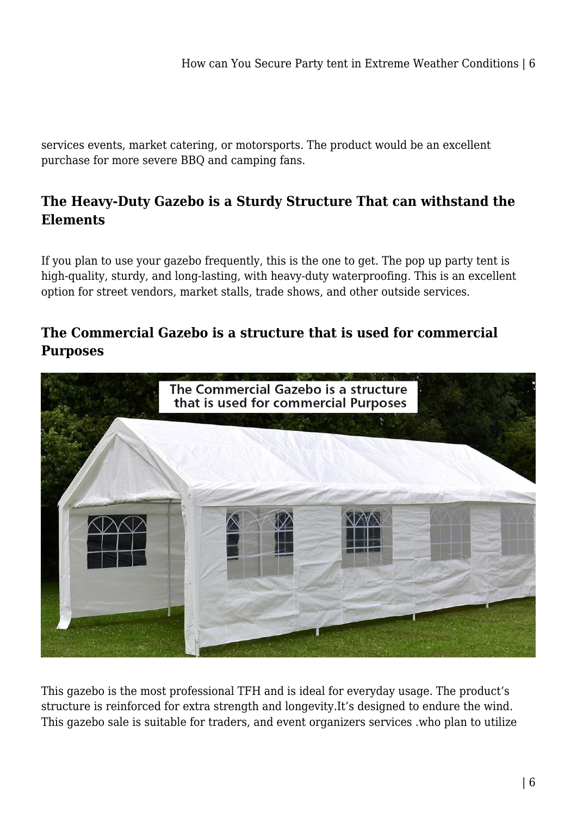services events, market catering, or motorsports. The product would be an excellent purchase for more severe BBQ and camping fans.

## **The Heavy-Duty Gazebo is a Sturdy Structure That can withstand the Elements**

If you plan to use your gazebo frequently, this is the one to get. The pop up party tent is high-quality, sturdy, and long-lasting, with heavy-duty waterproofing. This is an excellent option for street vendors, market stalls, trade shows, and other outside services.

### **The Commercial Gazebo is a structure that is used for commercial Purposes**



This gazebo is the most professional TFH and is ideal for everyday usage. The product's structure is reinforced for extra strength and longevity.It's designed to endure the wind. This gazebo sale is suitable for traders, and event organizers services .who plan to utilize